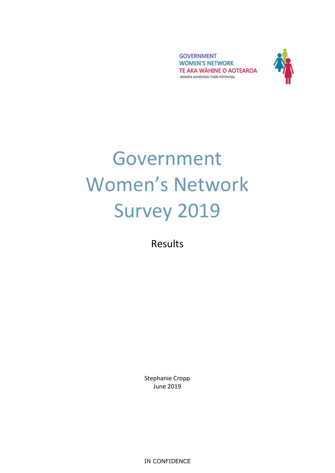**GOVERNMENT WOMEN'S NETWORK** TE AKA WÄHINE O AOTEAROA WOMEN ACHIEVING THEIR POTENTIAL



# Government Women's Network Survey 2019

Results

Stephanie Cropp June 2019

IN CONFIDENCE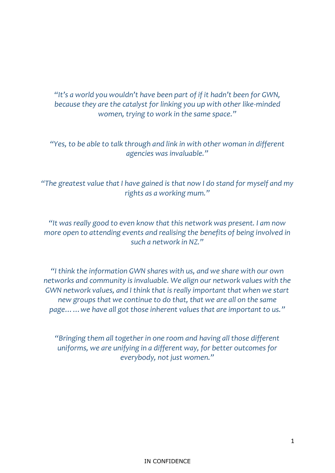*"It's a world you wouldn't have been part of if it hadn't been for GWN, because they are the catalyst for linking you up with other like-minded women, trying to work in the same space."*

*"Yes, to be able to talk through and link in with other woman in different agencies was invaluable."*

*"The greatest value that I have gained is that now I do stand for myself and my rights as a working mum."*

*"It was really good to even know that this network was present. I am now more open to attending events and realising the benefits of being involved in such a network in NZ."*

*"I think the information GWN shares with us, and we share with our own networks and community is invaluable. We align our network values with the GWN network values, and I think that is really important that when we start new groups that we continue to do that, that we are all on the same page……we have all got those inherent values that are important to us."*

*"Bringing them all together in one room and having all those different uniforms, we are unifying in a different way, for better outcomes for everybody, not just women."*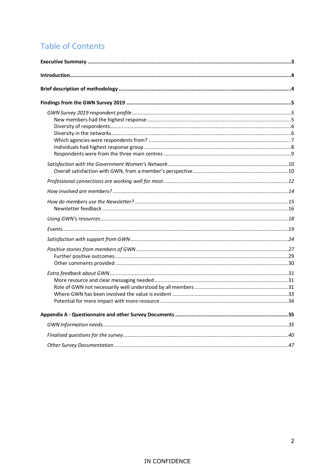### **Table of Contents**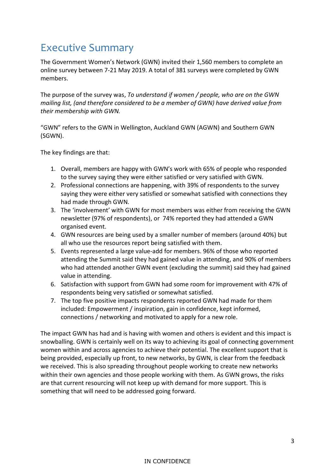### <span id="page-3-0"></span>Executive Summary

The Government Women's Network (GWN) invited their 1,560 members to complete an online survey between 7-21 May 2019. A total of 381 surveys were completed by GWN members.

The purpose of the survey was, *To understand if women / people, who are on the GWN mailing list, (and therefore considered to be a member of GWN) have derived value from their membership with GWN.* 

"GWN" refers to the GWN in Wellington, Auckland GWN (AGWN) and Southern GWN (SGWN).

The key findings are that:

- 1. Overall, members are happy with GWN's work with 65% of people who responded to the survey saying they were either satisfied or very satisfied with GWN.
- 2. Professional connections are happening, with 39% of respondents to the survey saying they were either very satisfied or somewhat satisfied with connections they had made through GWN.
- 3. The 'involvement' with GWN for most members was either from receiving the GWN newsletter (97% of respondents), or 74% reported they had attended a GWN organised event.
- 4. GWN resources are being used by a smaller number of members (around 40%) but all who use the resources report being satisfied with them.
- 5. Events represented a large value-add for members. 96% of those who reported attending the Summit said they had gained value in attending, and 90% of members who had attended another GWN event (excluding the summit) said they had gained value in attending.
- 6. Satisfaction with support from GWN had some room for improvement with 47% of respondents being very satisfied or somewhat satisfied.
- 7. The top five positive impacts respondents reported GWN had made for them included: Empowerment / inspiration, gain in confidence, kept informed, connections / networking and motivated to apply for a new role.

The impact GWN has had and is having with women and others is evident and this impact is snowballing. GWN is certainly well on its way to achieving its goal of connecting government women within and across agencies to achieve their potential. The excellent support that is being provided, especially up front, to new networks, by GWN, is clear from the feedback we received. This is also spreading throughout people working to create new networks within their own agencies and those people working with them. As GWN grows, the risks are that current resourcing will not keep up with demand for more support. This is something that will need to be addressed going forward.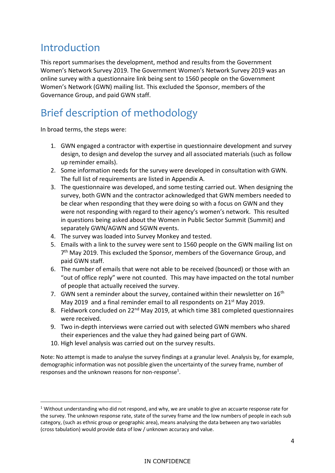### <span id="page-4-0"></span>Introduction

This report summarises the development, method and results from the Government Women's Network Survey 2019. The Government Women's Network Survey 2019 was an online survey with a questionnaire link being sent to 1560 people on the Government Women's Network (GWN) mailing list. This excluded the Sponsor, members of the Governance Group, and paid GWN staff.

### <span id="page-4-1"></span>Brief description of methodology

In broad terms, the steps were:

 $\overline{a}$ 

- 1. GWN engaged a contractor with expertise in questionnaire development and survey design, to design and develop the survey and all associated materials (such as follow up reminder emails).
- 2. Some information needs for the survey were developed in consultation with GWN. The full list of requirements are listed in Appendix A.
- 3. The questionnaire was developed, and some testing carried out. When designing the survey, both GWN and the contractor acknowledged that GWN members needed to be clear when responding that they were doing so with a focus on GWN and they were not responding with regard to their agency's women's network. This resulted in questions being asked about the Women in Public Sector Summit (Summit) and separately GWN/AGWN and SGWN events.
- 4. The survey was loaded into Survey Monkey and tested.
- 5. Emails with a link to the survey were sent to 1560 people on the GWN mailing list on 7<sup>th</sup> May 2019. This excluded the Sponsor, members of the Governance Group, and paid GWN staff.
- 6. The number of emails that were not able to be received (bounced) or those with an "out of office reply" were not counted. This may have impacted on the total number of people that actually received the survey.
- 7. GWN sent a reminder about the survey, contained within their newsletter on  $16<sup>th</sup>$ May 2019 and a final reminder email to all respondents on 21<sup>st</sup> May 2019.
- 8. Fieldwork concluded on 22<sup>nd</sup> May 2019, at which time 381 completed questionnaires were received.
- 9. Two in-depth interviews were carried out with selected GWN members who shared their experiences and the value they had gained being part of GWN.
- 10. High level analysis was carried out on the survey results.

Note: No attempt is made to analyse the survey findings at a granular level. Analysis by, for example, demographic information was not possible given the uncertainty of the survey frame, number of responses and the unknown reasons for non-response<sup>1</sup>.

 $1$  Without understanding who did not respond, and why, we are unable to give an accuarte response rate for the survey. The unknown response rate, state of the survey frame and the low numbers of people in each sub category, (such as ethnic group or geographic area), means analysing the data between any two variables (cross tabulation) would provide data of low / unknown accuracy and value.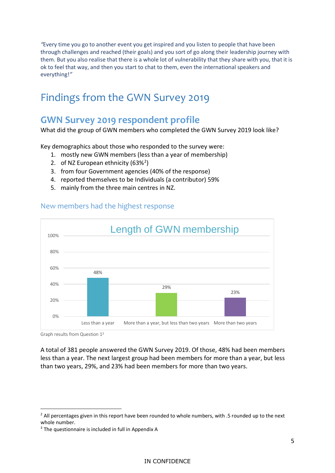*"*Every time you go to another event you get inspired and you listen to people that have been through challenges and reached (their goals) and you sort of go along their leadership journey with them. But you also realise that there is a whole lot of vulnerability that they share with you, that it is ok to feel that way, and then you start to chat to them, even the international speakers and everything!*"*

### <span id="page-5-0"></span>Findings from the GWN Survey 2019

### <span id="page-5-1"></span>**GWN Survey 2019 respondent profile**

What did the group of GWN members who completed the GWN Survey 2019 look like?

Key demographics about those who responded to the survey were:

- 1. mostly new GWN members (less than a year of membership)
- 2. of NZ European ethnicity (63%<sup>2</sup>)
- 3. from four Government agencies (40% of the response)
- 4. reported themselves to be Individuals (a contributor) 59%
- 5. mainly from the three main centres in NZ.



#### <span id="page-5-2"></span>New members had the highest response

Graph results from Question 1<sup>3</sup>

 $\overline{a}$ 

A total of 381 people answered the GWN Survey 2019. Of those, 48% had been members less than a year. The next largest group had been members for more than a year, but less than two years, 29%, and 23% had been members for more than two years.

<sup>&</sup>lt;sup>2</sup> All percentages given in this report have been rounded to whole numbers, with .5 rounded up to the next whole number.

 $3$  The questionnaire is included in full in Appendix A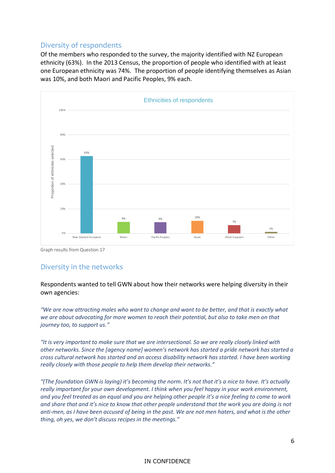#### <span id="page-6-0"></span>Diversity of respondents

Of the members who responded to the survey, the majority identified with NZ European ethnicity (63%). In the 2013 Census, the proportion of people who identified with at least one European ethnicity was 74%. The proportion of people identifying themselves as Asian was 10%, and both Maori and Pacific Peoples, 9% each.



Graph results from Question 17

#### <span id="page-6-1"></span>Diversity in the networks

Respondents wanted to tell GWN about how their networks were helping diversity in their own agencies:

*"We are now attracting males who want to change and want to be better, and that is exactly what we are about advocating for more women to reach their potential, but also to take men on that journey too, to support us."*

*"It is very important to make sure that we are intersectional. So we are really closely linked with other networks. Since the [agency name] women's network has started a pride network has started a cross cultural network has started and an access disability network has started. I have been working really closely with those people to help them develop their networks."* 

*"(The foundation GWN is laying) it's becoming the norm. It's not that it's a nice to have. It's actually really important for your own development. I think when you feel happy in your work environment, and you feel treated as an equal and you are helping other people it's a nice feeling to come to work and share that and it's nice to know that other people understand that the work you are doing is not anti-men, as I have been accused of being in the past. We are not men haters, and what is the other thing, oh yes, we don't discuss recipes in the meetings."*

#### IN CONFIDENCE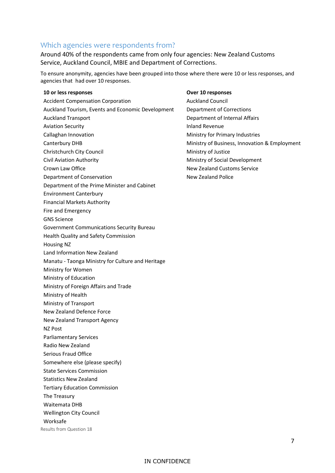#### <span id="page-7-0"></span>Which agencies were respondents from?

Around 40% of the respondents came from only four agencies: New Zealand Customs Service, Auckland Council, MBIE and Department of Corrections.

To ensure anonymity, agencies have been grouped into those where there were 10 or less responses, and agencies that had over 10 responses.

#### **10 or less responses Over 10 responses**

Accident Compensation Corporation **Auckland Council** Auckland Council Auckland Tourism, Events and Economic Development Department of Corrections Auckland Transport **Department of Internal Affairs** Department of Internal Affairs Aviation Security **Inland Revenue** Callaghan Innovation **Ministry for Primary Industries** Canterbury DHB Ministry of Business, Innovation & Employment Christchurch City Council **Ministry of Justice** Ministry of Justice Civil Aviation Authority **Ministry of Social Development** Crown Law Office **New Zealand Customs Service** New Zealand Customs Service Department of Conservation New Zealand Police Department of the Prime Minister and Cabinet Environment Canterbury Financial Markets Authority Fire and Emergency GNS Science Government Communications Security Bureau Health Quality and Safety Commission Housing NZ Land Information New Zealand Manatu - Taonga Ministry for Culture and Heritage Ministry for Women Ministry of Education Ministry of Foreign Affairs and Trade Ministry of Health Ministry of Transport New Zealand Defence Force New Zealand Transport Agency NZ Post Parliamentary Services Radio New Zealand Serious Fraud Office Somewhere else (please specify) State Services Commission Statistics New Zealand Tertiary Education Commission The Treasury Waitemata DHB Wellington City Council Worksafe

Results from Question 18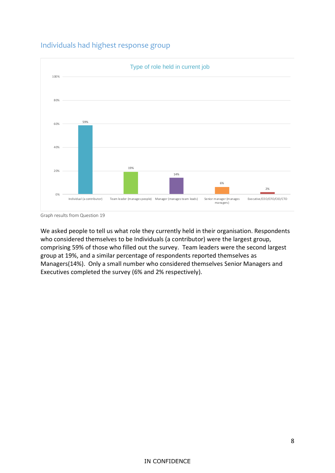#### <span id="page-8-0"></span>Individuals had highest response group



Graph results from Question 19

We asked people to tell us what role they currently held in their organisation. Respondents who considered themselves to be Individuals (a contributor) were the largest group, comprising 59% of those who filled out the survey. Team leaders were the second largest group at 19%, and a similar percentage of respondents reported themselves as Managers(14%). Only a small number who considered themselves Senior Managers and Executives completed the survey (6% and 2% respectively).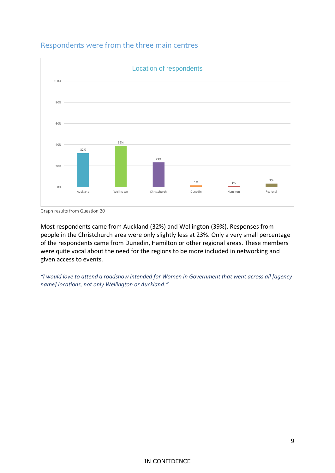

#### <span id="page-9-0"></span>Respondents were from the three main centres

Graph results from Question 20

Most respondents came from Auckland (32%) and Wellington (39%). Responses from people in the Christchurch area were only slightly less at 23%. Only a very small percentage of the respondents came from Dunedin, Hamilton or other regional areas. These members were quite vocal about the need for the regions to be more included in networking and given access to events.

*"I would love to attend a roadshow intended for Women in Government that went across all [agency name] locations, not only Wellington or Auckland."*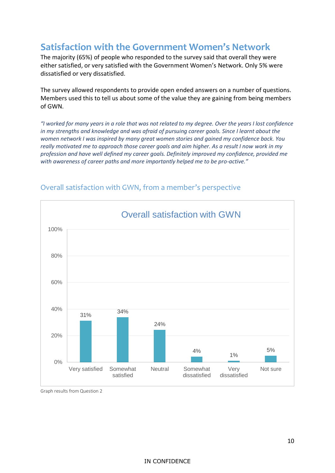### <span id="page-10-0"></span>**Satisfaction with the Government Women's Network**

The majority (65%) of people who responded to the survey said that overall they were either satisfied, or very satisfied with the Government Women's Network. Only 5% were dissatisfied or very dissatisfied.

The survey allowed respondents to provide open ended answers on a number of questions. Members used this to tell us about some of the value they are gaining from being members of GWN.

*"I worked for many years in a role that was not related to my degree. Over the years I lost confidence in my strengths and knowledge and was afraid of pursuing career goals. Since I learnt about the women network I was inspired by many great women stories and gained my confidence back. You really motivated me to approach those career goals and aim higher. As a result I now work in my profession and have well defined my career goals. Definitely improved my confidence, provided me with awareness of career paths and more importantly helped me to be pro-active."*



### <span id="page-10-1"></span>Overall satisfaction with GWN, from a member's perspective

Graph results from Question 2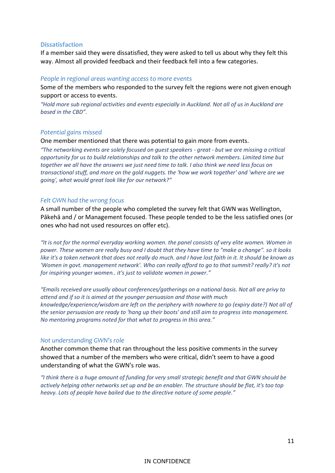#### **Dissatisfaction**

If a member said they were dissatisfied, they were asked to tell us about why they felt this way. Almost all provided feedback and their feedback fell into a few categories.

#### *People in regional areas wanting access to more events*

Some of the members who responded to the survey felt the regions were not given enough support or access to events.

*"Hold more sub regional activities and events especially in Auckland. Not all of us in Auckland are based in the CBD".* 

#### *Potential gains missed*

One member mentioned that there was potential to gain more from events.

*"The networking events are solely focused on guest speakers - great - but we are missing a critical opportunity for us to build relationships and talk to the other network members. Limited time but together we all have the answers we just need time to talk. I also think we need less focus on transactional stuff, and more on the gold nuggets. the 'how we work together' and 'where are we going', what would great look like for our network?"*

#### *Felt GWN had the wrong focus*

A small number of the people who completed the survey felt that GWN was Wellington, Pākehā and / or Management focused. These people tended to be the less satisfied ones (or ones who had not used resources on offer etc).

*"It is not for the normal everyday working women. the panel consists of very elite women. Women in power. These women are really busy and I doubt that they have time to "make a change". so it looks like it's a token network that does not really do much. and I have lost faith in it. It should be known as 'Women in govt. management network'. Who can really afford to go to that summit? really? it's not for inspiring younger women.. it's just to validate women in power."*

*"Emails received are usually about conferences/gatherings on a national basis. Not all are privy to attend and if so it is aimed at the younger persuasion and those with much knowledge/experience/wisdom are left on the periphery with nowhere to go (expiry date?) Not all of the senior persuasion are ready to 'hang up their boots' and still aim to progress into management. No mentoring programs noted for that what to progress in this area."*

#### *Not understanding GWN's role*

Another common theme that ran throughout the less positive comments in the survey showed that a number of the members who were critical, didn't seem to have a good understanding of what the GWN's role was.

*"I think there is a huge amount of funding for very small strategic benefit and that GWN should be actively helping other networks set up and be an enabler. The structure should be flat, it's too top heavy. Lots of people have bailed due to the directive nature of some people."*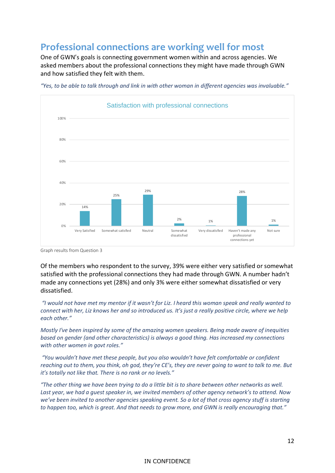### <span id="page-12-0"></span>**Professional connections are working well for most**

One of GWN's goals is connecting government women within and across agencies. We asked members about the professional connections they might have made through GWN and how satisfied they felt with them.



*"Yes, to be able to talk through and link in with other woman in different agencies was invaluable."*

Graph results from Question 3

Of the members who respondent to the survey, 39% were either very satisfied or somewhat satisfied with the professional connections they had made through GWN. A number hadn't made any connections yet (28%) and only 3% were either somewhat dissatisfied or very dissatisfied.

*"I would not have met my mentor if it wasn't for Liz. I heard this woman speak and really wanted to connect with her, Liz knows her and so introduced us. It's just a really positive circle, where we help each other."*

*Mostly I've been inspired by some of the amazing women speakers. Being made aware of inequities based on gender (and other characteristics) is always a good thing. Has increased my connections with other women in govt roles."*

*"You wouldn't have met these people, but you also wouldn't have felt comfortable or confident reaching out to them, you think, oh god, they're CE's, they are never going to want to talk to me. But it's totally not like that. There is no rank or no levels."*

*"The other thing we have been trying to do a little bit is to share between other networks as well. Last year, we had a guest speaker in, we invited members of other agency network's to attend. Now we've been invited to another agencies speaking event. So a lot of that cross agency stuff is starting to happen too, which is great. And that needs to grow more, and GWN is really encouraging that."*

#### IN CONFIDENCE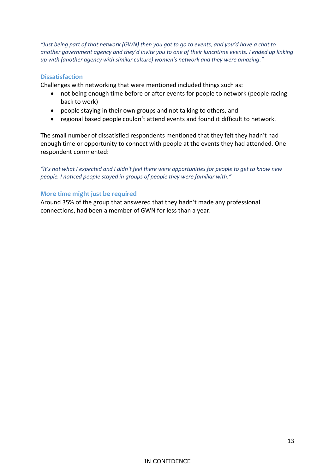*"Just being part of that network (GWN) then you got to go to events, and you'd have a chat to another government agency and they'd invite you to one of their lunchtime events. I ended up linking up with (another agency with similar culture) women's network and they were amazing."*

#### **Dissatisfaction**

Challenges with networking that were mentioned included things such as:

- not being enough time before or after events for people to network (people racing back to work)
- people staying in their own groups and not talking to others, and
- regional based people couldn't attend events and found it difficult to network.

The small number of dissatisfied respondents mentioned that they felt they hadn't had enough time or opportunity to connect with people at the events they had attended. One respondent commented:

*"It's not what I expected and I didn't feel there were opportunities for people to get to know new people. I noticed people stayed in groups of people they were familiar with."*

#### **More time might just be required**

Around 35% of the group that answered that they hadn't made any professional connections, had been a member of GWN for less than a year.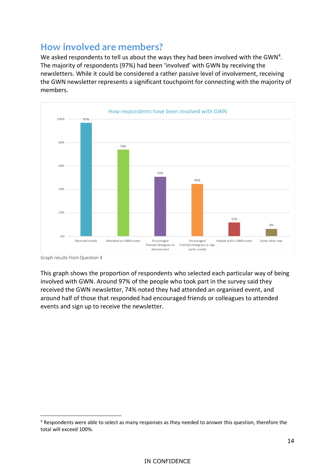### <span id="page-14-0"></span>**How involved are members?**

We asked respondents to tell us about the ways they had been involved with the GWN<sup>4</sup>. The majority of respondents (97%) had been 'involved' with GWN by receiving the newsletters. While it could be considered a rather passive level of involvement, receiving the GWN newsletter represents a significant touchpoint for connecting with the majority of members.



Graph results from Question 4

 $\overline{a}$ 

This graph shows the proportion of respondents who selected each particular way of being involved with GWN. Around 97% of the people who took part in the survey said they received the GWN newsletter, 74% noted they had attended an organised event, and around half of those that responded had encouraged friends or colleagues to attended events and sign up to receive the newsletter.

<sup>4</sup> Respondents were able to select as many responses as they needed to answer this question, therefore the total will exceed 100%.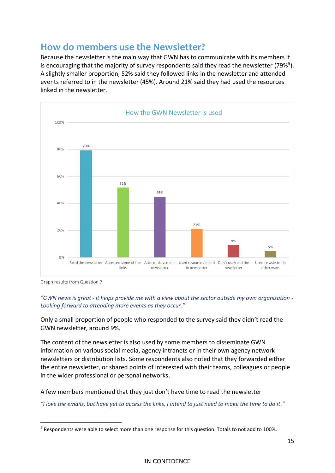### <span id="page-15-0"></span>**How do members use the Newsletter?**

Because the newsletter is the main way that GWN has to communicate with its members it is encouraging that the majority of survey respondents said they read the newsletter (79%<sup>5</sup>). A slightly smaller proportion, 52% said they followed links in the newsletter and attended events referred to in the newsletter (45%). Around 21% said they had used the resources linked in the newsletter.



Graph results from Question 7

 $\overline{a}$ 

*"GWN news is great - it helps provide me with a view about the sector outside my own organisation - Looking forward to attending more events as they occur."*

Only a small proportion of people who responded to the survey said they didn't read the GWN newsletter, around 9%.

The content of the newsletter is also used by some members to disseminate GWN information on various social media, agency intranets or in their own agency network newsletters or distribution lists. Some respondents also noted that they forwarded either the entire newsletter, or shared points of interested with their teams, colleagues or people in the wider professional or personal networks.

A few members mentioned that they just don't have time to read the newsletter

*"I love the emails, but have yet to access the links, I intend to just need to make the time to do it."*

<sup>5</sup> Respondents were able to select more than one response for this question. Totals to not add to 100%.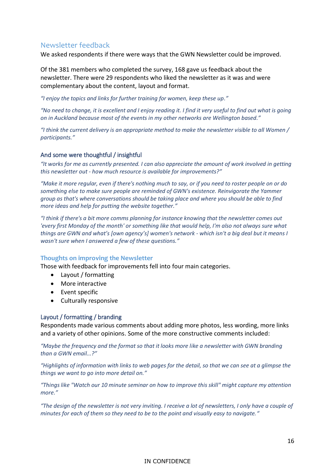#### <span id="page-16-0"></span>Newsletter feedback

We asked respondents if there were ways that the GWN Newsletter could be improved.

Of the 381 members who completed the survey, 168 gave us feedback about the newsletter. There were 29 respondents who liked the newsletter as it was and were complementary about the content, layout and format.

*"I enjoy the topics and links for further training for women, keep these up."*

*"No need to change, it is excellent and I enjoy reading it. I find it very useful to find out what is going on in Auckland because most of the events in my other networks are Wellington based."*

*"I think the current delivery is an appropriate method to make the newsletter visible to all Women / participants."*

#### And some were thoughtful / insightful

*"It works for me as currently presented. I can also appreciate the amount of work involved in getting this newsletter out - how much resource is available for improvements?"*

*"Make it more regular, even if there's nothing much to say, or if you need to roster people on or do something else to make sure people are reminded of GWN's existence. Reinvigorate the Yammer group as that's where conversations should be taking place and where you should be able to find more ideas and help for putting the website together."*

*"I think if there's a bit more comms planning for instance knowing that the newsletter comes out 'every first Monday of the month' or something like that would help, I'm also not always sure what things are GWN and what's [own agency's] women's network - which isn't a big deal but it means I wasn't sure when I answered a few of these questions."*

#### **Thoughts on improving the Newsletter**

Those with feedback for improvements fell into four main categories.

- Layout / formatting
- More interactive
- Event specific
- Culturally responsive

#### Layout / formatting / branding

Respondents made various comments about adding more photos, less wording, more links and a variety of other opinions. Some of the more constructive comments included:

*"Maybe the frequency and the format so that it looks more like a newsletter with GWN branding than a GWN email...?"*

*"Highlights of information with links to web pages for the detail, so that we can see at a glimpse the things we want to go into more detail on."*

*"Things like "Watch our 10 minute seminar on how to improve this skill" might capture my attention more."*

*"The design of the newsletter is not very inviting. I receive a lot of newsletters, I only have a couple of minutes for each of them so they need to be to the point and visually easy to navigate."*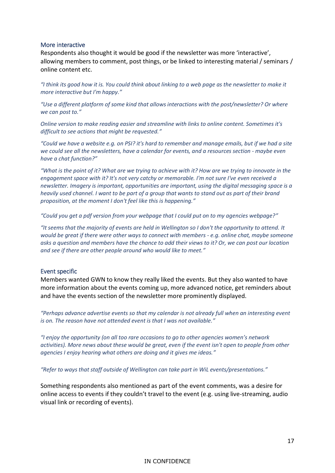#### More interactive

Respondents also thought it would be good if the newsletter was more 'interactive', allowing members to comment, post things, or be linked to interesting material / seminars / online content etc.

*"I think its good how it is. You could think about linking to a web page as the newsletter to make it more interactive but I'm happy."*

*"Use a different platform of some kind that allows interactions with the post/newsletter? Or where we can post to."*

*Online version to make reading easier and streamline with links to online content. Sometimes it's difficult to see actions that might be requested."*

*"Could we have a website e.g. on PSI? it's hard to remember and manage emails, but if we had a site we could see all the newsletters, have a calendar for events, and a resources section - maybe even have a chat function?"*

*"What is the point of it? What are we trying to achieve with it? How are we trying to innovate in the engagement space with it? It's not very catchy or memorable. I'm not sure I've even received a newsletter. Imagery is important, opportunities are important, using the digital messaging space is a heavily used channel. I want to be part of a group that wants to stand out as part of their brand proposition, at the moment I don't feel like this is happening."*

*"Could you get a pdf version from your webpage that I could put on to my agencies webpage?"*

*"It seems that the majority of events are held in Wellington so I don't the opportunity to attend. It would be great if there were other ways to connect with members - e.g. online chat, maybe someone asks a question and members have the chance to add their views to it? Or, we can post our location and see if there are other people around who would like to meet."*

#### Event specific

Members wanted GWN to know they really liked the events. But they also wanted to have more information about the events coming up, more advanced notice, get reminders about and have the events section of the newsletter more prominently displayed.

*"Perhaps advance advertise events so that my calendar is not already full when an interesting event is on. The reason have not attended event is that I was not available."*

*"I enjoy the opportunity (on all too rare occasions to go to other agencies women's network activities). More news about these would be great, even if the event isn't open to people from other agencies I enjoy hearing what others are doing and it gives me ideas."*

*"Refer to ways that staff outside of Wellington can take part in WiL events/presentations."*

Something respondents also mentioned as part of the event comments, was a desire for online access to events if they couldn't travel to the event (e.g. using live-streaming, audio visual link or recording of events).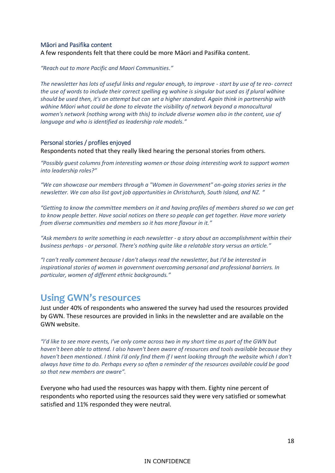#### Māori and Pasifika content

A few respondents felt that there could be more Māori and Pasifika content.

*"Reach out to more Pacific and Maori Communities."*

*The newsletter has lots of useful links and regular enough, to improve - start by use of te reo- correct the use of words to include their correct spelling eg wahine is singular but used as if plural wāhine should be used then, it's an attempt but can set a higher standard. Again think in partnership with wāhine Māori what could be done to elevate the visibility of network beyond a monocultural women's network (nothing wrong with this) to include diverse women also in the content, use of language and who is identified as leadership role models."*

#### Personal stories / profiles enjoyed

Respondents noted that they really liked hearing the personal stories from others.

*"Possibly guest columns from interesting women or those doing interesting work to support women into leadership roles?"*

*"We can showcase our members through a "Women in Government" on-going stories series in the newsletter. We can also list govt job opportunities in Christchurch, South Island, and NZ. "*

*"Getting to know the committee members on it and having profiles of members shared so we can get to know people better. Have social notices on there so people can get together. Have more variety from diverse communities and members so it has more flavour in it."*

*"Ask members to write something in each newsletter - a story about an accomplishment within their business perhaps - or personal. There's nothing quite like a relatable story versus an article."*

*"I can't really comment because I don't always read the newsletter, but I'd be interested in inspirational stories of women in government overcoming personal and professional barriers. In particular, women of different ethnic backgrounds."*

### <span id="page-18-0"></span>**Using GWN's resources**

Just under 40% of respondents who answered the survey had used the resources provided by GWN. These resources are provided in links in the newsletter and are available on the GWN website.

*"I'd like to see more events, I've only come across two in my short time as part of the GWN but haven't been able to attend. I also haven't been aware of resources and tools available because they haven't been mentioned. I think I'd only find them if I went looking through the website which I don't always have time to do. Perhaps every so often a reminder of the resources available could be good so that new members are aware".* 

Everyone who had used the resources was happy with them. Eighty nine percent of respondents who reported using the resources said they were very satisfied or somewhat satisfied and 11% responded they were neutral.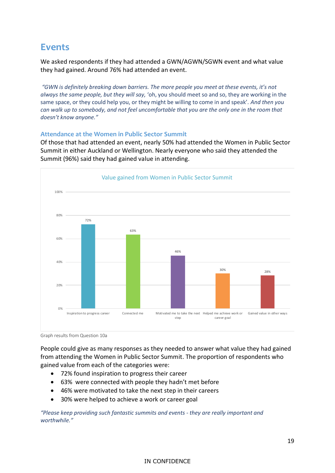### <span id="page-19-0"></span>**Events**

We asked respondents if they had attended a GWN/AGWN/SGWN event and what value they had gained. Around 76% had attended an event.

*"GWN is definitely breaking down barriers. The more people you meet at these events, it's not always the same people, but they will say,* 'oh, you should meet so and so, they are working in the same space, or they could help you, or they might be willing to come in and speak'*. And then you can walk up to somebody, and not feel uncomfortable that you are the only one in the room that doesn't know anyone."*

#### **Attendance at the Women in Public Sector Summit**

Of those that had attended an event, nearly 50% had attended the Women in Public Sector Summit in either Auckland or Wellington. Nearly everyone who said they attended the Summit (96%) said they had gained value in attending.



Graph results from Question 10a

People could give as many responses as they needed to answer what value they had gained from attending the Women in Public Sector Summit. The proportion of respondents who gained value from each of the categories were:

- 72% found inspiration to progress their career
- 63% were connected with people they hadn't met before
- 46% were motivated to take the next step in their careers
- 30% were helped to achieve a work or career goal

*"Please keep providing such fantastic summits and events - they are really important and worthwhile."*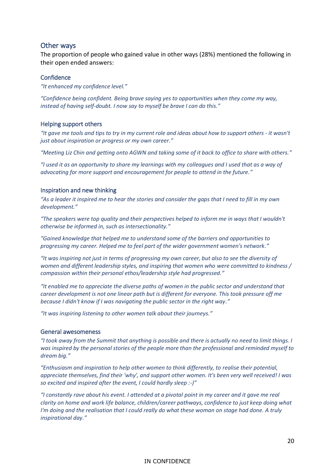#### Other ways

The proportion of people who gained value in other ways (28%) mentioned the following in their open ended answers:

#### **Confidence**

*"It enhanced my confidence level."*

*"Confidence being confident. Being brave saying yes to opportunities when they come my way, instead of having self-doubt. I now say to myself be brave I can do this."*

#### Helping support others

*"It gave me tools and tips to try in my current role and ideas about how to support others - it wasn't just about inspiration or progress or my own career."*

*"Meeting Liz Chin and getting onto AGWN and taking some of it back to office to share with others."*

*"I used it as an opportunity to share my learnings with my colleagues and I used that as a way of advocating for more support and encouragement for people to attend in the future."*

#### Inspiration and new thinking

*"As a leader it inspired me to hear the stories and consider the gaps that I need to fill in my own development."*

*"The speakers were top quality and their perspectives helped to inform me in ways that I wouldn't otherwise be informed in, such as intersectionality."*

*"Gained knowledge that helped me to understand some of the barriers and opportunities to progressing my career. Helped me to feel part of the wider government women's network."*

*"It was inspiring not just in terms of progressing my own career, but also to see the diversity of women and different leadership styles, and inspiring that women who were committed to kindness / compassion within their personal ethos/leadership style had progressed."*

*"It enabled me to appreciate the diverse paths of women in the public sector and understand that career development is not one linear path but is different for everyone. This took pressure off me because I didn't know if I was navigating the public sector in the right way."*

*"It was inspiring listening to other women talk about their journeys."*

#### General awesomeness

*"I took away from the Summit that anything is possible and there is actually no need to limit things. I was inspired by the personal stories of the people more than the professional and reminded myself to dream big."*

*"Enthusiasm and inspiration to help other women to think differently, to realise their potential, appreciate themselves, find their 'why', and support other women. It's been very well received! I was so excited and inspired after the event, I could hardly sleep :-)"*

*"I constantly rave about his event. I attended at a pivotal point in my career and it gave me real clarity on home and work life balance, children/career pathways, confidence to just keep doing what I'm doing and the realisation that I could really do what these woman on stage had done. A truly inspirational day."*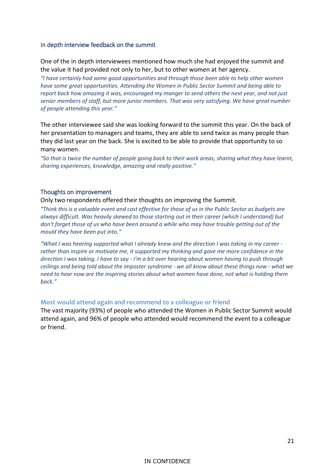#### In depth interview feedback on the summit

One of the in depth interviewees mentioned how much she had enjoyed the summit and the value it had provided not only to her, but to other women at her agency.

*"I have certainly had some good opportunities and through those been able to help other women have some great opportunities. Attending the Women in Public Sector Summit and being able to report back how amazing it was, encouraged my manger to send others the next year, and not just senior members of staff, but more junior members. That was very satisfying. We have great number of people attending this year."*

The other interviewee said she was looking forward to the summit this year. On the back of her presentation to managers and teams, they are able to send twice as many people than they did last year on the back. She is excited to be able to provide that opportunity to so many women.

*"So that is twice the number of people going back to their work areas, sharing what they have learnt, sharing experiences, knowledge, amazing and really positive."*

#### Thoughts on improvement

#### Only two respondents offered their thoughts on improving the Summit.

*"Think this is a valuable event and cost effective for those of us in the Public Sector as budgets are always difficult. Was heavily skewed to those starting out in their career (which I understand) but don't forget those of us who have been around a while who may have trouble getting out of the mould they have been put into."*

*"What I was hearing supported what I already knew and the direction I was taking in my career rather than inspire or motivate me, it supported my thinking and gave me more confidence in the direction I was taking. I have to say - I'm a bit over hearing about women having to push through ceilings and being told about the imposter syndrome - we all know about these things now - what we need to hear now are the inspiring stories about what women have done, not what is holding them back."*

#### **Most would attend again and recommend to a colleague or friend**

The vast majority (93%) of people who attended the Women in Public Sector Summit would attend again, and 96% of people who attended would recommend the event to a colleague or friend.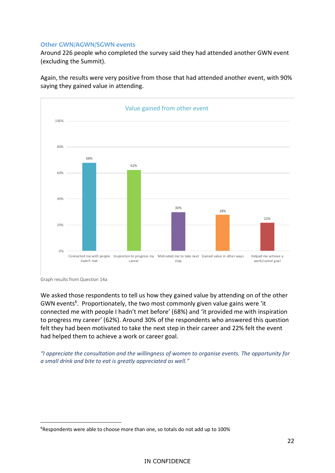#### **Other GWN/AGWN/SGWN events**

Around 226 people who completed the survey said they had attended another GWN event (excluding the Summit).

Again, the results were very positive from those that had attended another event, with 90% saying they gained value in attending.



Graph results from Question 14a

 $\overline{a}$ 

We asked those respondents to tell us how they gained value by attending on of the other GWN events<sup>6</sup>. Proportionately, the two most commonly given value gains were 'it connected me with people I hadn't met before' (68%) and 'it provided me with inspiration to progress my career' (62%). Around 30% of the respondents who answered this question felt they had been motivated to take the next step in their career and 22% felt the event had helped them to achieve a work or career goal.

*"I appreciate the consultation and the willingness of women to organise events. The opportunity for a small drink and bite to eat is greatly appreciated as well."*

<sup>&</sup>lt;sup>6</sup>Respondents were able to choose more than one, so totals do not add up to 100%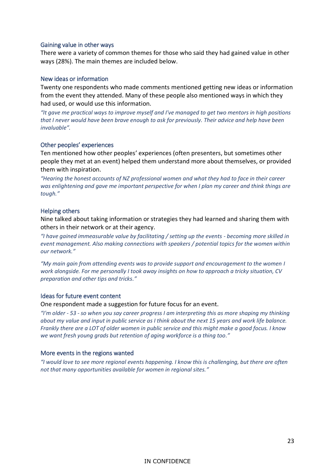#### Gaining value in other ways

There were a variety of common themes for those who said they had gained value in other ways (28%). The main themes are included below.

#### New ideas or information

Twenty one respondents who made comments mentioned getting new ideas or information from the event they attended. Many of these people also mentioned ways in which they had used, or would use this information.

*"It gave me practical ways to improve myself and I've managed to get two mentors in high positions that I never would have been brave enough to ask for previously. Their advice and help have been invaluable".*

#### Other peoples' experiences

Ten mentioned how other peoples' experiences (often presenters, but sometimes other people they met at an event) helped them understand more about themselves, or provided them with inspiration.

*"Hearing the honest accounts of NZ professional women and what they had to face in their career was enlightening and gave me important perspective for when I plan my career and think things are tough."*

#### Helping others

Nine talked about taking information or strategies they had learned and sharing them with others in their network or at their agency.

*"I have gained immeasurable value by facilitating / setting up the events - becoming more skilled in event management. Also making connections with speakers / potential topics for the women within our network."*

*"My main gain from attending events was to provide support and encouragement to the women I work alongside. For me personally I took away insights on how to approach a tricky situation, CV preparation and other tips and tricks."*

#### Ideas for future event content

One respondent made a suggestion for future focus for an event.

*"I'm older - 53 - so when you say career progress I am interpreting this as more shaping my thinking about my value and input in public service as I think about the next 15 years and work life balance. Frankly there are a LOT of older women in public service and this might make a good focus. I know we want fresh young grads but retention of aging workforce is a thing too."*

#### More events in the regions wanted

*"I would love to see more regional events happening. I know this is challenging, but there are often not that many opportunities available for women in regional sites."*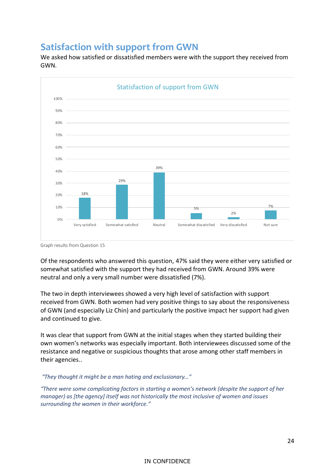### <span id="page-24-0"></span>**Satisfaction with support from GWN**

We asked how satisfied or dissatisfied members were with the support they received from GWN.



Graph results from Question 15

Of the respondents who answered this question, 47% said they were either very satisfied or somewhat satisfied with the support they had received from GWN. Around 39% were neutral and only a very small number were dissatisfied (7%).

The two in depth interviewees showed a very high level of satisfaction with support received from GWN. Both women had very positive things to say about the responsiveness of GWN (and especially Liz Chin) and particularly the positive impact her support had given and continued to give.

It was clear that support from GWN at the initial stages when they started building their own women's networks was especially important. Both interviewees discussed some of the resistance and negative or suspicious thoughts that arose among other staff members in their agencies..

*"They thought it might be a man hating and exclusionary…"*

*"There were some complicating factors in starting a women's network (despite the support of her manager) as [the agency] itself was not historically the most inclusive of women and issues surrounding the women in their workforce."*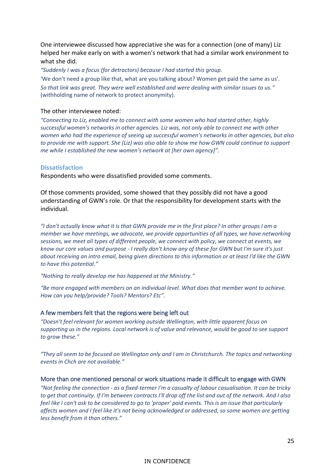One interviewee discussed how appreciative she was for a connection (one of many) Liz helped her make early on with a women's network that had a similar work environment to what she did.

*"Suddenly I was a focus (for detractors) because I had started this group.*

'We don't need a group like that, what are you talking about? Women get paid the same as us'. *So that link was great. They were well established and were dealing with similar issues to us."* (withholding name of network to protect anonymity).

#### The other interviewee noted:

*"Connecting to Liz, enabled me to connect with some women who had started other, highly successful women's networks in other agencies. Liz was, not only able to connect me with other women who had the experience of seeing up successful women's networks in other agencies, but also to provide me with support. She (Liz) was also able to show me how GWN could continue to support me while I established the new women's network at [her own agency]".*

#### **Dissatisfaction**

Respondents who were dissatisfied provided some comments.

Of those comments provided, some showed that they possibly did not have a good understanding of GWN's role. Or that the responsibility for development starts with the individual.

*"I don't actually know what it is that GWN provide me in the first place? In other groups I am a member we have meetings, we advocate, we provide opportunities of all types, we have networking sessions, we meet all types of different people, we connect with policy, we connect at events, we know our core values and purpose - I really don't know any of these for GWN but I'm sure it's just about receiving an intro email, being given directions to this information or at least I'd like the GWN to have this potential."*

*"Nothing to really develop me has happened at the Ministry."*

*"Be more engaged with members on an individual level. What does that member want to achieve. How can you help/provide? Tools? Mentors? Etc".*

#### A few members felt that the regions were being left out

*"Doesn't feel relevant for women working outside Wellington, with little apparent focus on supporting us in the regions. Local network is of value and relevance, would be good to see support to grow these."*

*"They all seem to be focused on Wellington only and I am in Christchurch. The topics and networking events in Chch are not available."*

#### More than one mentioned personal or work situations made it difficult to engage with GWN

*"Not feeling the connection - as a fixed-termer I'm a casualty of labour casualisation. It can be tricky to get that continuity. If I'm between contracts I'll drop off the list and out of the network. And I also feel like I can't ask to be considered to go to 'proper' paid events. This is an issue that particularly affects women and I feel like it's not being acknowledged or addressed, so some women are getting less benefit from it than others."*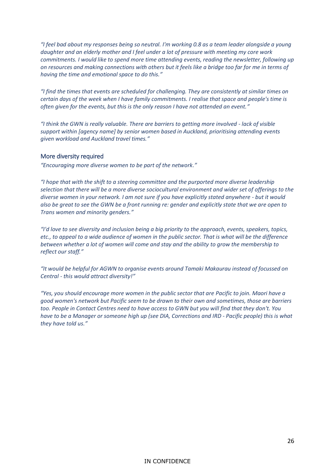*"I feel bad about my responses being so neutral. I'm working 0.8 as a team leader alongside a young daughter and an elderly mother and I feel under a lot of pressure with meeting my core work commitments. I would like to spend more time attending events, reading the newsletter, following up on resources and making connections with others but it feels like a bridge too far for me in terms of having the time and emotional space to do this."*

*"I find the times that events are scheduled for challenging. They are consistently at similar times on certain days of the week when I have family commitments. I realise that space and people's time is often given for the events, but this is the only reason I have not attended an event."*

*"I think the GWN is really valuable. There are barriers to getting more involved - lack of visible support within [agency name] by senior women based in Auckland, prioritising attending events given workload and Auckland travel times."*

#### More diversity required

*"Encouraging more diverse women to be part of the network."*

*"I hope that with the shift to a steering committee and the purported more diverse leadership selection that there will be a more diverse sociocultural environment and wider set of offerings to the diverse women in your network. I am not sure if you have explicitly stated anywhere - but it would also be great to see the GWN be a front running re: gender and explicitly state that we are open to Trans women and minority genders."*

*"I'd love to see diversity and inclusion being a big priority to the approach, events, speakers, topics, etc., to appeal to a wide audience of women in the public sector. That is what will be the difference between whether a lot of women will come and stay and the ability to grow the membership to reflect our staff."*

*"It would be helpful for AGWN to organise events around Tamaki Makaurau instead of focussed on Central - this would attract diversity!"*

*"Yes, you should encourage more women in the public sector that are Pacific to join. Maori have a good women's network but Pacific seem to be drawn to their own and sometimes, those are barriers too. People in Contact Centres need to have access to GWN but you will find that they don't. You have to be a Manager or someone high up (see DIA, Corrections and IRD - Pacific people) this is what they have told us."*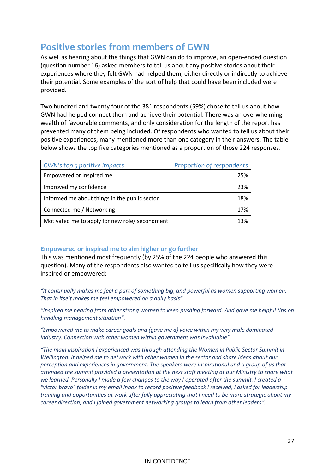### <span id="page-27-0"></span>**Positive stories from members of GWN**

As well as hearing about the things that GWN can do to improve, an open-ended question (question number 16) asked members to tell us about any positive stories about their experiences where they felt GWN had helped them, either directly or indirectly to achieve their potential. Some examples of the sort of help that could have been included were provided. .

Two hundred and twenty four of the 381 respondents (59%) chose to tell us about how GWN had helped connect them and achieve their potential. There was an overwhelming wealth of favourable comments, and only consideration for the length of the report has prevented many of them being included. Of respondents who wanted to tell us about their positive experiences, many mentioned more than one category in their answers. The table below shows the top five categories mentioned as a proportion of those 224 responses.

| GWN's top 5 positive impacts                   | Proportion of respondents |
|------------------------------------------------|---------------------------|
| Empowered or Inspired me                       | 25%                       |
| Improved my confidence                         | 23%                       |
| Informed me about things in the public sector  | 18%                       |
| Connected me / Networking                      | 17%                       |
| Motivated me to apply for new role/ secondment | 13%                       |

#### **Empowered or inspired me to aim higher or go further**

This was mentioned most frequently (by 25% of the 224 people who answered this question). Many of the respondents also wanted to tell us specifically how they were inspired or empowered:

*"It continually makes me feel a part of something big, and powerful as women supporting women. That in itself makes me feel empowered on a daily basis".* 

*"Inspired me hearing from other strong women to keep pushing forward. And gave me helpful tips on handling management situation".*

*"Empowered me to make career goals and (gave me a) voice within my very male dominated industry. Connection with other women within government was invaluable".*

*"The main inspiration I experienced was through attending the Women in Public Sector Summit in Wellington. It helped me to network with other women in the sector and share ideas about our perception and experiences in government. The speakers were inspirational and a group of us that attended the summit provided a presentation at the next staff meeting at our Ministry to share what we learned. Personally I made a few changes to the way I operated after the summit. I created a "victor bravo" folder in my email inbox to record positive feedback I received, I asked for leadership training and opportunities at work after fully appreciating that I need to be more strategic about my career direction, and I joined government networking groups to learn from other leaders".*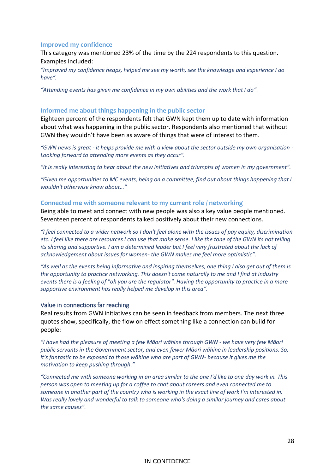#### **Improved my confidence**

This category was mentioned 23% of the time by the 224 respondents to this question. Examples included:

*"Improved my confidence heaps, helped me see my worth, see the knowledge and experience I do have".*

*"Attending events has given me confidence in my own abilities and the work that I do".*

#### **Informed me about things happening in the public sector**

Eighteen percent of the respondents felt that GWN kept them up to date with information about what was happening in the public sector. Respondents also mentioned that without GWN they wouldn't have been as aware of things that were of interest to them.

*"GWN news is great - it helps provide me with a view about the sector outside my own organisation - Looking forward to attending more events as they occur".*

*"It is really interesting to hear about the new initiatives and triumphs of women in my government".*

*"Given me opportunities to MC events, being on a committee, find out about things happening that I wouldn't otherwise know about…"*

#### **Connected me with someone relevant to my current role / networking**

Being able to meet and connect with new people was also a key value people mentioned. Seventeen percent of respondents talked positively about their new connections.

*"I feel connected to a wider network so I don't feel alone with the issues of pay equity, discrimination etc. I feel like there are resources I can use that make sense. I like the tone of the GWN its not telling its sharing and supportive. I am a determined leader but I feel very frustrated about the lack of acknowledgement about issues for women- the GWN makes me feel more optimistic".*

*"As well as the events being informative and inspiring themselves, one thing I also get out of them is the opportunity to practice networking. This doesn't come naturally to me and I find at industry events there is a feeling of "oh you are the regulator". Having the opportunity to practice in a more supportive environment has really helped me develop in this area".*

#### Value in connections far reaching

Real results from GWN initiatives can be seen in feedback from members. The next three quotes show, specifically, the flow on effect something like a connection can build for people:

*"I have had the pleasure of meeting a few Māori wāhine through GWN - we have very few Māori public servants in the Government sector, and even fewer Māori wāhine in leadership positions. So, it's fantastic to be exposed to those wāhine who are part of GWN- because it gives me the motivation to keep pushing through."*

*"Connected me with someone working in an area similar to the one I'd like to one day work in. This person was open to meeting up for a coffee to chat about careers and even connected me to someone in another part of the country who is working in the exact line of work I'm interested in. Was really lovely and wonderful to talk to someone who's doing a similar journey and cares about the same causes".*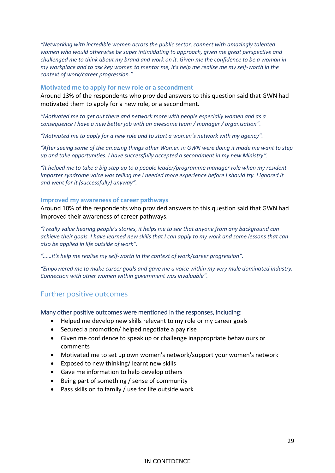*"Networking with incredible women across the public sector, connect with amazingly talented women who would otherwise be super intimidating to approach, given me great perspective and challenged me to think about my brand and work on it. Given me the confidence to be a woman in my workplace and to ask key women to mentor me, it's help me realise me my self-worth in the context of work/career progression."*

#### **Motivated me to apply for new role or a secondment**

Around 13% of the respondents who provided answers to this question said that GWN had motivated them to apply for a new role, or a secondment.

*"Motivated me to get out there and network more with people especially women and as a consequence I have a new better job with an awesome team / manager / organisation".*

*"Motivated me to apply for a new role and to start a women's network with my agency".* 

*"After seeing some of the amazing things other Women in GWN were doing it made me want to step up and take opportunities. I have successfully accepted a secondment in my new Ministry".* 

*"It helped me to take a big step up to a people leader/programme manager role when my resident imposter syndrome voice was telling me I needed more experience before I should try. I ignored it and went for it (successfully) anyway".* 

#### **Improved my awareness of career pathways**

Around 10% of the respondents who provided answers to this question said that GWN had improved their awareness of career pathways.

*"I really value hearing people's stories, it helps me to see that anyone from any background can achieve their goals. I have learned new skills that I can apply to my work and some lessons that can also be applied in life outside of work".*

*"……it's help me realise my self-worth in the context of work/career progression".* 

*"Empowered me to make career goals and gave me a voice within my very male dominated industry. Connection with other women within government was invaluable".* 

#### <span id="page-29-0"></span>Further positive outcomes

#### Many other positive outcomes were mentioned in the responses, including:

- Helped me develop new skills relevant to my role or my career goals
- Secured a promotion/ helped negotiate a pay rise
- Given me confidence to speak up or challenge inappropriate behaviours or comments
- Motivated me to set up own women's network/support your women's network
- Exposed to new thinking/ learnt new skills
- Gave me information to help develop others
- Being part of something / sense of community
- Pass skills on to family / use for life outside work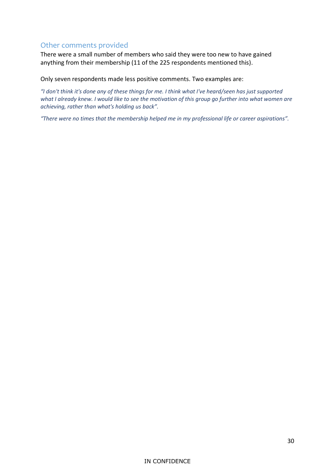#### <span id="page-30-0"></span>Other comments provided

There were a small number of members who said they were too new to have gained anything from their membership (11 of the 225 respondents mentioned this).

Only seven respondents made less positive comments. Two examples are:

*"I don't think it's done any of these things for me. I think what I've heard/seen has just supported what I already knew. I would like to see the motivation of this group go further into what women are achieving, rather than what's holding us back".* 

*"There were no times that the membership helped me in my professional life or career aspirations".*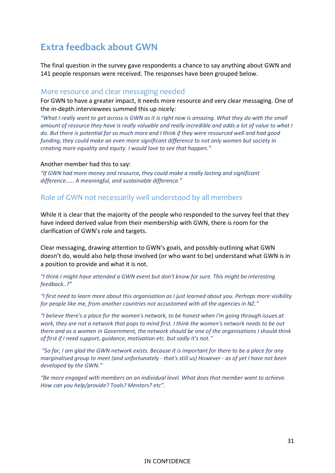### <span id="page-31-0"></span>**Extra feedback about GWN**

The final question in the survey gave respondents a chance to say anything about GWN and 141 people responses were received. The responses have been grouped below.

#### <span id="page-31-1"></span>More resource and clear messaging needed

For GWN to have a greater impact, it needs more resource and very clear messaging. One of the in-depth interviewees summed this up nicely:

*"What I really want to get across is GWN as it is right now is amazing. What they do with the small amount of resource they have is really valuable and really incredible and adds a lot of value to what I do. But there is potential for so much more and I think if they were resourced well and had good funding, they could make an even more significant difference to not only women but society in creating more equality and equity. I would love to see that happen."*

#### Another member had this to say:

*"If GWN had more money and resource, they could make a really lasting and significant difference…… A meaningful, and sustainable difference."* 

#### <span id="page-31-2"></span>Role of GWN not necessarily well understood by all members

While it is clear that the majority of the people who responded to the survey feel that they have indeed derived value from their membership with GWN, there is room for the clarification of GWN's role and targets.

Clear messaging, drawing attention to GWN's goals, and possibly outlining what GWN doesn't do, would also help those involved (or who want to be) understand what GWN is in a position to provide and what it is not.

*"I think I might have attended a GWN event but don't know for sure. This might be interesting feedback..?"*

*"I first need to learn more about this organisation as I just learned about you. Perhaps more visibility for people like me, from another countries not accustomed with all the agencies in NZ."*

*"I believe there's a place for the women's network, to be honest when I'm going through issues at work, they are not a network that pops to mind first. I think the women's network needs to be out there and as a women in Government, the network should be one of the organisations I should think of first if I need support, guidance, motivation etc. but sadly it's not."*

*"So far, I am glad the GWN network exists. Because it is important for there to be a place for any marginalised group to meet (and unfortunately - that's still us) However - as of yet I have not been developed by the GWN."*

*"Be more engaged with members on an individual level. What does that member want to achieve. How can you help/provide? Tools? Mentors? etc".*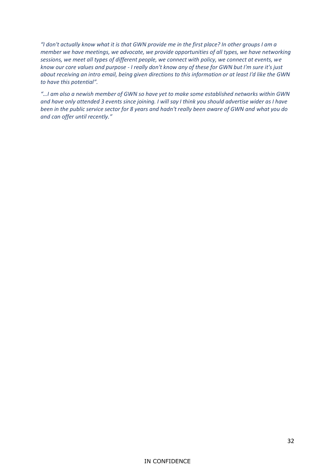*"I don't actually know what it is that GWN provide me in the first place? In other groups I am a member we have meetings, we advocate, we provide opportunities of all types, we have networking sessions, we meet all types of different people, we connect with policy, we connect at events, we know our core values and purpose - I really don't know any of these for GWN but I'm sure it's just about receiving an intro email, being given directions to this information or at least I'd like the GWN to have this potential".*

*"…I am also a newish member of GWN so have yet to make some established networks within GWN and have only attended 3 events since joining. I will say I think you should advertise wider as I have been in the public service sector for 8 years and hadn't really been aware of GWN and what you do and can offer until recently."*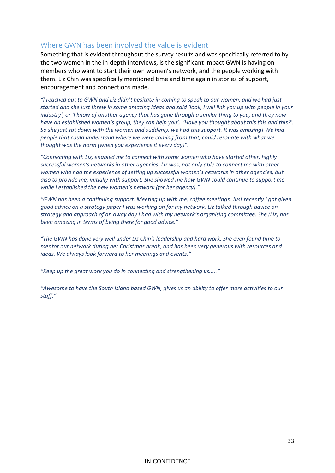#### <span id="page-33-0"></span>Where GWN has been involved the value is evident

Something that is evident throughout the survey results and was specifically referred to by the two women in the in-depth interviews, is the significant impact GWN is having on members who want to start their own women's network, and the people working with them. Liz Chin was specifically mentioned time and time again in stories of support, encouragement and connections made.

*"I reached out to GWN and Liz didn't hesitate in coming to speak to our women, and we had just started and she just threw in some amazing ideas and said 'look, I will link you up with people in your industry', or 'I know of another agency that has gone through a similar thing to you, and they now have an established women's group, they can help you', 'Have you thought about this this and this?'. So she just sat down with the women and suddenly, we had this support. It was amazing! We had people that could understand where we were coming from that, could resonate with what we thought was the norm (when you experience it every day)".*

*"Connecting with Liz, enabled me to connect with some women who have started other, highly successful women's networks in other agencies. Liz was, not only able to connect me with other women who had the experience of setting up successful women's networks in other agencies, but also to provide me, initially with support. She showed me how GWN could continue to support me while I established the new women's network (for her agency)."* 

*"GWN has been a continuing support. Meeting up with me, coffee meetings. Just recently I got given good advice on a strategy paper I was working on for my network. Liz talked through advice on strategy and approach of an away day I had with my network's organising committee. She (Liz) has been amazing in terms of being there for good advice."*

*"The GWN has done very well under Liz Chin's leadership and hard work. She even found time to mentor our network during her Christmas break, and has been very generous with resources and ideas. We always look forward to her meetings and events."*

*"Keep up the great work you do in connecting and strengthening us....."*

*"Awesome to have the South Island based GWN, gives us an ability to offer more activities to our staff."*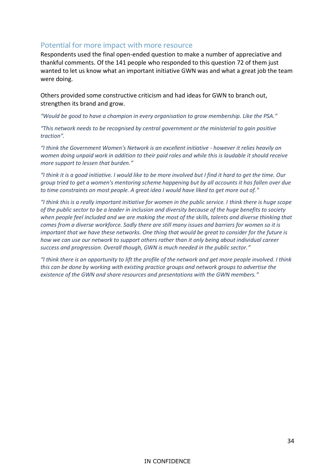#### <span id="page-34-0"></span>Potential for more impact with more resource

Respondents used the final open-ended question to make a number of appreciative and thankful comments. Of the 141 people who responded to this question 72 of them just wanted to let us know what an important initiative GWN was and what a great job the team were doing.

Others provided some constructive criticism and had ideas for GWN to branch out, strengthen its brand and grow.

*"Would be good to have a champion in every organisation to grow membership. Like the PSA."*

*"This network needs to be recognised by central government or the ministerial to gain positive traction".* 

*"I think the Government Women's Network is an excellent initiative - however it relies heavily on women doing unpaid work in addition to their paid roles and while this is laudable it should receive more support to lessen that burden."*

*"I think it is a good initiative. I would like to be more involved but I find it hard to get the time. Our group tried to get a women's mentoring scheme happening but by all accounts it has fallen over due to time constraints on most people. A great idea I would have liked to get more out of."*

*"I think this is a really important initiative for women in the public service. I think there is huge scope of the public sector to be a leader in inclusion and diversity because of the huge benefits to society when people feel included and we are making the most of the skills, talents and diverse thinking that comes from a diverse workforce. Sadly there are still many issues and barriers for women so it is important that we have these networks. One thing that would be great to consider for the future is how we can use our network to support others rather than it only being about individual career success and progression. Overall though, GWN is much needed in the public sector."*

*"I think there is an opportunity to lift the profile of the network and get more people involved. I think this can be done by working with existing practice groups and network groups to advertise the existence of the GWN and share resources and presentations with the GWN members."*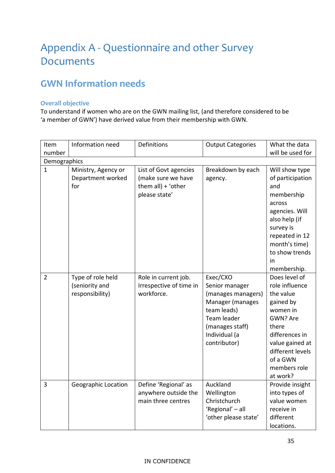## <span id="page-35-0"></span>Appendix A - Questionnaire and other Survey Documents

### <span id="page-35-1"></span>**GWN Information needs**

#### **Overall objective**

To understand if women who are on the GWN mailing list, (and therefore considered to be 'a member of GWN') have derived value from their membership with GWN.

| Item           | Information need    | Definitions             | <b>Output Categories</b> | What the data    |
|----------------|---------------------|-------------------------|--------------------------|------------------|
| number         |                     |                         |                          | will be used for |
| Demographics   |                     |                         |                          |                  |
| $\mathbf{1}$   | Ministry, Agency or | List of Govt agencies   | Breakdown by each        | Will show type   |
|                | Department worked   | (make sure we have      | agency.                  | of participation |
|                | for                 | them $all$ ) + 'other   |                          | and              |
|                |                     | please state'           |                          | membership       |
|                |                     |                         |                          | across           |
|                |                     |                         |                          | agencies. Will   |
|                |                     |                         |                          | also help (if    |
|                |                     |                         |                          | survey is        |
|                |                     |                         |                          | repeated in 12   |
|                |                     |                         |                          | month's time)    |
|                |                     |                         |                          | to show trends   |
|                |                     |                         |                          | in               |
|                |                     |                         |                          | membership.      |
| $\overline{2}$ | Type of role held   | Role in current job.    | Exec/CXO                 | Does level of    |
|                | (seniority and      | Irrespective of time in | Senior manager           | role influence   |
|                | responsibility)     | workforce.              | (manages managers)       | the value        |
|                |                     |                         | Manager (manages         | gained by        |
|                |                     |                         | team leads)              | women in         |
|                |                     |                         | Team leader              | GWN? Are         |
|                |                     |                         | (manages staff)          | there            |
|                |                     |                         | Individual (a            | differences in   |
|                |                     |                         | contributor)             | value gained at  |
|                |                     |                         |                          | different levels |
|                |                     |                         |                          | of a GWN         |
|                |                     |                         |                          | members role     |
|                |                     |                         |                          | at work?         |
| $\overline{3}$ | Geographic Location | Define 'Regional' as    | Auckland                 | Provide insight  |
|                |                     | anywhere outside the    | Wellington               | into types of    |
|                |                     | main three centres      | Christchurch             | value women      |
|                |                     |                         | 'Regional' - all         | receive in       |
|                |                     |                         | 'other please state'     | different        |
|                |                     |                         |                          | locations.       |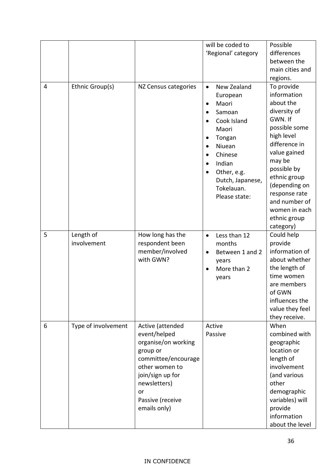|                |                          |                                                                                                                                                                                            | will be coded to<br>'Regional' category                                                                                                                                                                              | Possible<br>differences<br>between the<br>main cities and                                                                                                                                                                                                                               |
|----------------|--------------------------|--------------------------------------------------------------------------------------------------------------------------------------------------------------------------------------------|----------------------------------------------------------------------------------------------------------------------------------------------------------------------------------------------------------------------|-----------------------------------------------------------------------------------------------------------------------------------------------------------------------------------------------------------------------------------------------------------------------------------------|
| $\overline{4}$ | Ethnic Group(s)          | NZ Census categories                                                                                                                                                                       | New Zealand<br>$\bullet$<br>European<br>Maori<br>$\bullet$<br>Samoan<br>Cook Island<br>Maori<br>Tongan<br>Niuean<br>Chinese<br>Indian<br>$\bullet$<br>Other, e.g.<br>Dutch, Japanese,<br>Tokelauan.<br>Please state: | regions.<br>To provide<br>information<br>about the<br>diversity of<br>GWN. If<br>possible some<br>high level<br>difference in<br>value gained<br>may be<br>possible by<br>ethnic group<br>(depending on<br>response rate<br>and number of<br>women in each<br>ethnic group<br>category) |
| 5              | Length of<br>involvement | How long has the<br>respondent been<br>member/involved<br>with GWN?                                                                                                                        | Less than 12<br>$\bullet$<br>months<br>Between 1 and 2<br>$\bullet$<br>years<br>More than 2<br>years                                                                                                                 | Could help<br>provide<br>information of<br>about whether<br>the length of<br>time women<br>are members<br>of GWN<br>influences the<br>value they feel<br>they receive.                                                                                                                  |
| 6              | Type of involvement      | Active (attended<br>event/helped<br>organise/on working<br>group or<br>committee/encourage<br>other women to<br>join/sign up for<br>newsletters)<br>or<br>Passive (receive<br>emails only) | Active<br>Passive                                                                                                                                                                                                    | When<br>combined with<br>geographic<br>location or<br>length of<br>involvement<br>(and various<br>other<br>demographic<br>variables) will<br>provide<br>information<br>about the level                                                                                                  |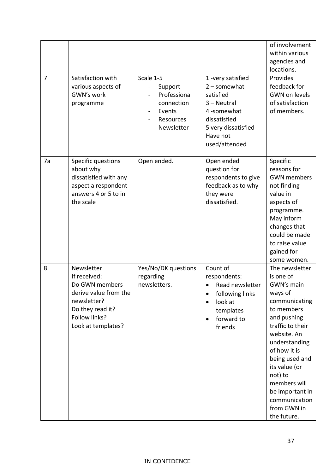| $\overline{7}$ | Satisfaction with<br>various aspects of<br>GWN's work<br>programme                                                                              | Scale 1-5<br>$\blacksquare$<br>Support<br>Professional<br>connection<br>Events<br>Resources<br>Newsletter | 1-very satisfied<br>$2$ – somewhat<br>satisfied<br>$3 - Neutral$<br>4-somewhat<br>dissatisfied<br>5 very dissatisfied<br>Have not<br>used/attended | of involvement<br>within various<br>agencies and<br>locations.<br>Provides<br>feedback for<br><b>GWN on levels</b><br>of satisfaction<br>of members.                                                                                                                                                   |
|----------------|-------------------------------------------------------------------------------------------------------------------------------------------------|-----------------------------------------------------------------------------------------------------------|----------------------------------------------------------------------------------------------------------------------------------------------------|--------------------------------------------------------------------------------------------------------------------------------------------------------------------------------------------------------------------------------------------------------------------------------------------------------|
| 7a             | Specific questions<br>about why<br>dissatisfied with any<br>aspect a respondent<br>answers 4 or 5 to in<br>the scale                            | Open ended.                                                                                               | Open ended<br>question for<br>respondents to give<br>feedback as to why<br>they were<br>dissatisfied.                                              | Specific<br>reasons for<br><b>GWN</b> members<br>not finding<br>value in<br>aspects of<br>programme.<br>May inform<br>changes that<br>could be made<br>to raise value<br>gained for<br>some women.                                                                                                     |
| 8              | Newsletter<br>If received:<br>Do GWN members<br>derive value from the<br>newsletter?<br>Do they read it?<br>Follow links?<br>Look at templates? | Yes/No/DK questions<br>regarding<br>newsletters.                                                          | Count of<br>respondents:<br>Read newsletter<br>following links<br>look at<br>templates<br>forward to<br>$\bullet$<br>friends                       | The newsletter<br>is one of<br>GWN's main<br>ways of<br>communicating<br>to members<br>and pushing<br>traffic to their<br>website. An<br>understanding<br>of how it is<br>being used and<br>its value (or<br>not) to<br>members will<br>be important in<br>communication<br>from GWN in<br>the future. |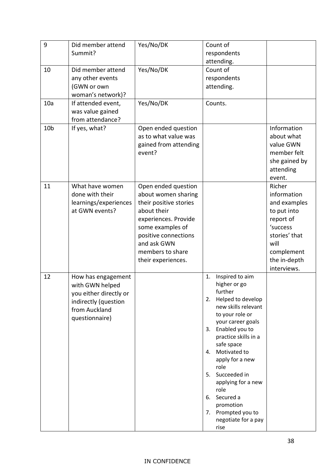| 9               | Did member attend      | Yes/No/DK                       | Count of                                  |               |
|-----------------|------------------------|---------------------------------|-------------------------------------------|---------------|
|                 | Summit?                |                                 | respondents                               |               |
|                 |                        |                                 | attending.                                |               |
| 10              | Did member attend      | Yes/No/DK                       | Count of                                  |               |
|                 | any other events       |                                 | respondents                               |               |
|                 | (GWN or own            |                                 | attending.                                |               |
|                 | woman's network)?      |                                 |                                           |               |
| 10a             | If attended event,     | Yes/No/DK                       | Counts.                                   |               |
|                 | was value gained       |                                 |                                           |               |
|                 | from attendance?       |                                 |                                           |               |
| 10 <sub>b</sub> | If yes, what?          | Open ended question             |                                           | Information   |
|                 |                        | as to what value was            |                                           | about what    |
|                 |                        |                                 |                                           | value GWN     |
|                 |                        | gained from attending<br>event? |                                           | member felt   |
|                 |                        |                                 |                                           |               |
|                 |                        |                                 |                                           | she gained by |
|                 |                        |                                 |                                           | attending     |
|                 |                        |                                 |                                           | event.        |
| 11              | What have women        | Open ended question             |                                           | Richer        |
|                 | done with their        | about women sharing             |                                           | information   |
|                 | learnings/experiences  | their positive stories          |                                           | and examples  |
|                 | at GWN events?         | about their                     |                                           | to put into   |
|                 |                        | experiences. Provide            |                                           | report of     |
|                 |                        | some examples of                |                                           | 'success      |
|                 |                        | positive connections            |                                           | stories' that |
|                 |                        | and ask GWN                     |                                           | will          |
|                 |                        | members to share                |                                           | complement    |
|                 |                        | their experiences.              |                                           | the in-depth  |
|                 |                        |                                 |                                           | interviews.   |
| 12              | How has engagement     |                                 | Inspired to aim<br>1.                     |               |
|                 | with GWN helped        |                                 | higher or go                              |               |
|                 | you either directly or |                                 | further                                   |               |
|                 | indirectly (question   |                                 | Helped to develop<br>2.                   |               |
|                 | from Auckland          |                                 | new skills relevant                       |               |
|                 | questionnaire)         |                                 | to your role or                           |               |
|                 |                        |                                 | your career goals                         |               |
|                 |                        |                                 | 3. Enabled you to<br>practice skills in a |               |
|                 |                        |                                 | safe space                                |               |
|                 |                        |                                 | 4. Motivated to                           |               |
|                 |                        |                                 | apply for a new                           |               |
|                 |                        |                                 | role                                      |               |
|                 |                        |                                 | Succeeded in<br>5.                        |               |
|                 |                        |                                 | applying for a new                        |               |
|                 |                        |                                 | role                                      |               |
|                 |                        |                                 | Secured a<br>6.                           |               |
|                 |                        |                                 | promotion                                 |               |
|                 |                        |                                 | 7. Prompted you to                        |               |
|                 |                        |                                 | negotiate for a pay                       |               |
|                 |                        |                                 | rise                                      |               |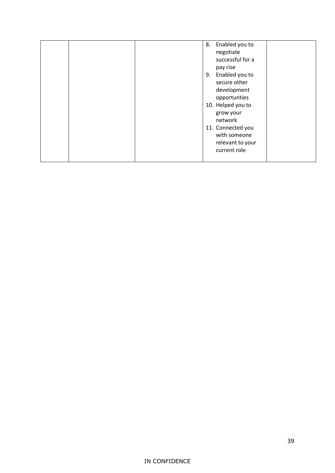|  | 8. Enabled you to<br>negotiate<br>successful for a<br>pay rise<br>Enabled you to<br>9.<br>secure other                                            |  |
|--|---------------------------------------------------------------------------------------------------------------------------------------------------|--|
|  | development<br>opportunties<br>10. Helped you to<br>grow your<br>network<br>11. Connected you<br>with someone<br>relevant to your<br>current role |  |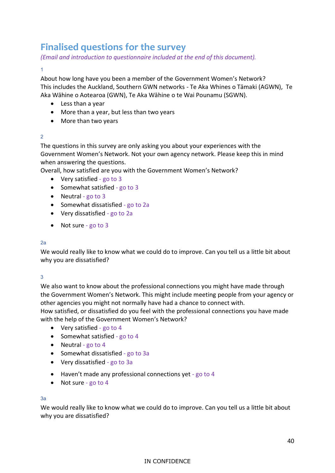### <span id="page-40-0"></span>**Finalised questions for the survey**

*(Email and introduction to questionnaire included at the end of this document).*

#### 1

About how long have you been a member of the Government Women's Network? This includes the Auckland, Southern GWN networks - Te Aka Whines o Tāmaki (AGWN), Te Aka Wāhine o Aotearoa (GWN), Te Aka Wāhine o te Wai Pounamu (SGWN).

- Less than a year
- More than a year, but less than two years
- More than two years

#### 2

The questions in this survey are only asking you about your experiences with the Government Women's Network. Not your own agency network. Please keep this in mind when answering the questions.

Overall, how satisfied are you with the Government Women's Network?

- Very satisfied go to 3
- Somewhat satisfied go to 3
- Neutral go to 3
- Somewhat dissatisfied go to 2a
- Very dissatisfied go to 2a
- Not sure go to 3

#### 2a

We would really like to know what we could do to improve. Can you tell us a little bit about why you are dissatisfied?

#### 3

We also want to know about the professional connections you might have made through the Government Women's Network. This might include meeting people from your agency or other agencies you might not normally have had a chance to connect with.

How satisfied, or dissatisfied do you feel with the professional connections you have made with the help of the Government Women's Network?

- Very satisfied go to 4
- Somewhat satisfied go to 4
- Neutral go to 4
- Somewhat dissatisfied go to 3a
- Very dissatisfied go to 3a
- Haven't made any professional connections yet go to 4
- Not sure go to 4

#### 3a

We would really like to know what we could do to improve. Can you tell us a little bit about why you are dissatisfied?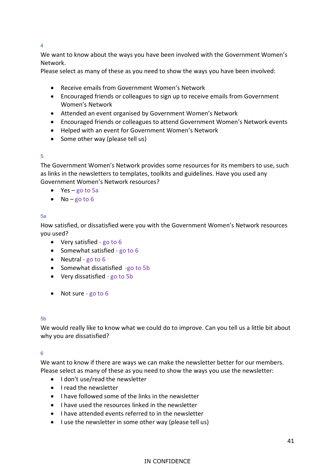4

We want to know about the ways you have been involved with the Government Women's Network.

Please select as many of these as you need to show the ways you have been involved:

- Receive emails from Government Women's Network
- Encouraged friends or colleagues to sign up to receive emails from Government Women's Network
- Attended an event organised by Government Women's Network
- Encouraged friends or colleagues to attend Government Women's Network events
- Helped with an event for Government Women's Network
- Some other way (please tell us)

#### 5

The Government Women's Network provides some resources for its members to use, such as links in the newsletters to templates, toolkits and guidelines. Have you used any Government Women's Network resources?

- Yes go to 5a
- No go to  $6$

#### 5a

How satisfied, or dissatisfied were you with the Government Women's Network resources you used?

- Very satisfied go to 6
- Somewhat satisfied go to 6
- Neutral go to 6
- Somewhat dissatisfied -go to 5b
- Very dissatisfied go to 5b
- Not sure go to 6

#### 5b

We would really like to know what we could do to improve. Can you tell us a little bit about why you are dissatisfied?

#### 6

We want to know if there are ways we can make the newsletter better for our members. Please select as many of these as you need to show the ways you use the newsletter:

- I don't use/read the newsletter
- I read the newsletter
- I have followed some of the links in the newsletter
- I have used the resources linked in the newsletter
- I have attended events referred to in the newsletter
- I use the newsletter in some other way (please tell us)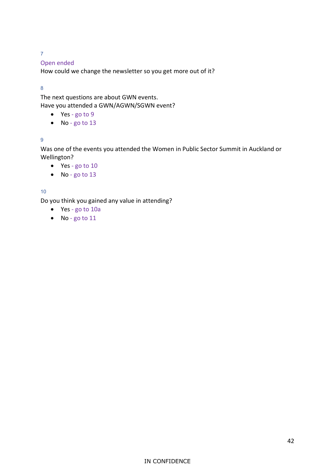7

#### Open ended

How could we change the newsletter so you get more out of it?

8

The next questions are about GWN events. Have you attended a GWN/AGWN/SGWN event?

- Yes go to 9
- No go to 13

#### 9

Was one of the events you attended the Women in Public Sector Summit in Auckland or Wellington?

- Yes go to 10
- No go to 13

10

Do you think you gained any value in attending?

- Yes go to 10a
- No go to 11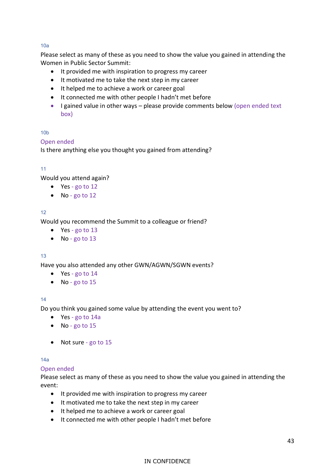#### 10a

Please select as many of these as you need to show the value you gained in attending the Women in Public Sector Summit:

- It provided me with inspiration to progress my career
- It motivated me to take the next step in my career
- It helped me to achieve a work or career goal
- It connected me with other people I hadn't met before
- I gained value in other ways please provide comments below (open ended text) box)

#### 10b

#### Open ended

Is there anything else you thought you gained from attending?

#### 11

Would you attend again?

- Yes go to 12
- No-go to 12

#### 12

Would you recommend the Summit to a colleague or friend?

- Yes go to 13
- No go to 13

#### 13

Have you also attended any other GWN/AGWN/SGWN events?

- Yes go to 14
- No go to 15

#### 14

Do you think you gained some value by attending the event you went to?

- Yes go to 14a
- No go to 15
- Not sure go to 15

#### 14a

#### Open ended

Please select as many of these as you need to show the value you gained in attending the event:

- It provided me with inspiration to progress my career
- It motivated me to take the next step in my career
- It helped me to achieve a work or career goal
- It connected me with other people I hadn't met before

#### IN CONFIDENCE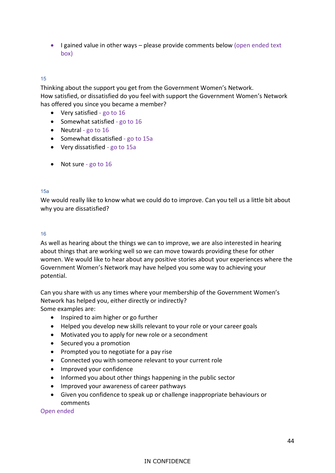• I gained value in other ways – please provide comments below (open ended text box)

#### 15

Thinking about the support you get from the Government Women's Network. How satisfied, or dissatisfied do you feel with support the Government Women's Network has offered you since you became a member?

- Very satisfied go to 16
- Somewhat satisfied go to 16
- Neutral go to 16
- Somewhat dissatisfied go to 15a
- Very dissatisfied go to 15a
- Not sure go to 16

#### 15a

We would really like to know what we could do to improve. Can you tell us a little bit about why you are dissatisfied?

#### 16

As well as hearing about the things we can to improve, we are also interested in hearing about things that are working well so we can move towards providing these for other women. We would like to hear about any positive stories about your experiences where the Government Women's Network may have helped you some way to achieving your potential.

Can you share with us any times where your membership of the Government Women's Network has helped you, either directly or indirectly? Some examples are:

- Inspired to aim higher or go further
- Helped you develop new skills relevant to your role or your career goals
- Motivated you to apply for new role or a secondment
- Secured you a promotion
- Prompted you to negotiate for a pay rise
- Connected you with someone relevant to your current role
- Improved your confidence
- Informed you about other things happening in the public sector
- Improved your awareness of career pathways
- Given you confidence to speak up or challenge inappropriate behaviours or comments

Open ended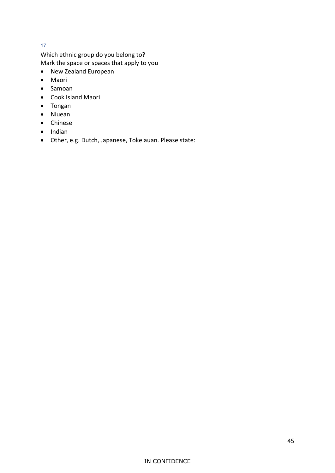#### 17

Which ethnic group do you belong to? Mark the space or spaces that apply to you

- New Zealand European
- Maori
- Samoan
- Cook Island Maori
- Tongan
- Niuean
- Chinese
- Indian
- Other, e.g. Dutch, Japanese, Tokelauan. Please state: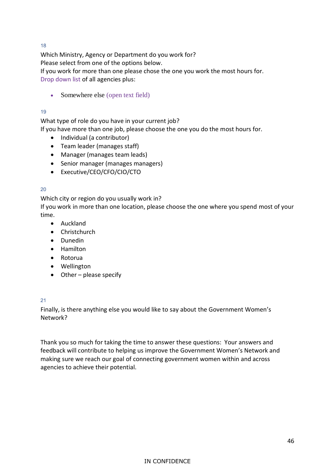18

Which Ministry, Agency or Department do you work for? Please select from one of the options below. If you work for more than one please chose the one you work the most hours for. Drop down list of all agencies plus:

• Somewhere else (open text field)

#### 19

What type of role do you have in your current job?

If you have more than one job, please choose the one you do the most hours for.

- Individual (a contributor)
- Team leader (manages staff)
- Manager (manages team leads)
- Senior manager (manages managers)
- Executive/CEO/CFO/CIO/CTO

#### 20

Which city or region do you usually work in?

If you work in more than one location, please choose the one where you spend most of your time.

- Auckland
- Christchurch
- Dunedin
- Hamilton
- Rotorua
- Wellington
- Other please specify

#### 21

Finally, is there anything else you would like to say about the Government Women's Network?

Thank you so much for taking the time to answer these questions: Your answers and feedback will contribute to helping us improve the Government Women's Network and making sure we reach our goal of connecting government women within and across agencies to achieve their potential.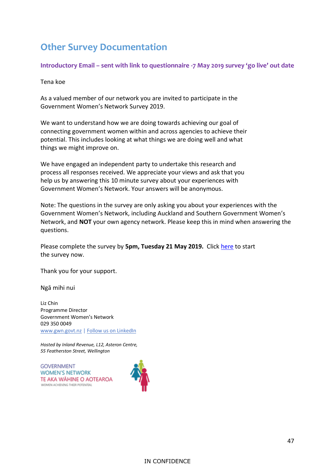### <span id="page-47-0"></span>**Other Survey Documentation**

**Introductory Email – sent with link to questionnaire -7 May 2019 survey 'go live' out date**

Tena koe

As a valued member of our network you are invited to participate in the Government Women's Network Survey 2019.

We want to understand how we are doing towards achieving our goal of connecting government women within and across agencies to achieve their potential. This includes looking at what things we are doing well and what things we might improve on.

We have engaged an independent party to undertake this research and process all responses received. We appreciate your views and ask that you help us by answering this 10 minute survey about your experiences with Government Women's Network. Your answers will be anonymous.

Note: The questions in the survey are only asking you about your experiences with the Government Women's Network, including Auckland and Southern Government Women's Network, and **NOT** your own agency network. Please keep this in mind when answering the questions.

Please complete the survey by **5pm, Tuesday 21 May 2019.** Click [here](https://www.surveymonkey.com/r/ZRCC3RY) to start the survey now.

Thank you for your support.

Ngā mihi nui

Liz Chin Programme Director Government Women's Network 029 350 0049 [www.gwn.govt.nz](http://www.gwn.govt.nz/) | [Follow us on LinkedIn](https://www.linkedin.com/company/gwnnz)

*Hosted by Inland Revenue, L12, Asteron Centre, 55 Featherston Street, Wellington*

**GOVERNMENT WOMEN'S NETWORK** TE AKA WĂHINE O AOTEAROA WOMEN ACHIEVING THEIR POTENTIAL